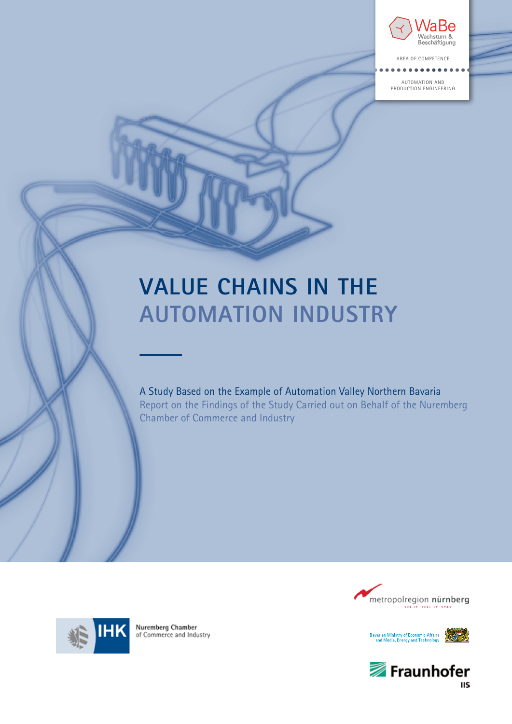

AREA OF COMPETENce

AUTOMATION AND PRODUCTION ENGINEERING

# **VALUE CHAINS IN THE Automation Industry**

A Study Based on the Example of Automation Valley Northern Bavaria Report on the Findings of the Study Carried out on Behalf of the Nuremberg Chamber of Commerce and Industry









Nuremberg Chamber of Commerce and Industry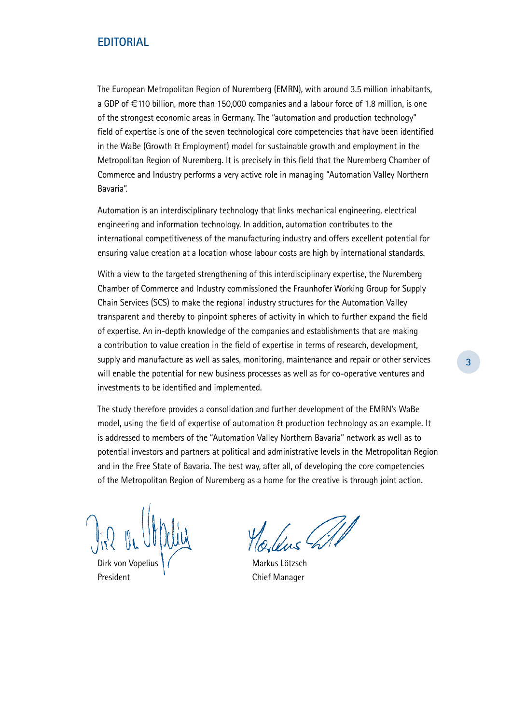# **Editorial**

The European Metropolitan Region of Nuremberg (EMRN), with around 3.5 million inhabitants, a GDP of €110 billion, more than 150,000 companies and a labour force of 1.8 million, is one of the strongest economic areas in Germany. The "automation and production technology" field of expertise is one of the seven technological core competencies that have been identified in the WaBe (Growth & Employment) model for sustainable growth and employment in the Metropolitan Region of Nuremberg. It is precisely in this field that the Nuremberg Chamber of Commerce and Industry performs a very active role in managing "Automation Valley Northern Bavaria".

Automation is an interdisciplinary technology that links mechanical engineering, electrical engineering and information technology. In addition, automation contributes to the international competitiveness of the manufacturing industry and offers excellent potential for ensuring value creation at a location whose labour costs are high by international standards.

With a view to the targeted strengthening of this interdisciplinary expertise, the Nuremberg Chamber of Commerce and Industry commissioned the Fraunhofer Working Group for Supply Chain Services (SCS) to make the regional industry structures for the Automation Valley transparent and thereby to pinpoint spheres of activity in which to further expand the field of expertise. An in-depth knowledge of the companies and establishments that are making a contribution to value creation in the field of expertise in terms of research, development, supply and manufacture as well as sales, monitoring, maintenance and repair or other services will enable the potential for new business processes as well as for co-operative ventures and investments to be identified and implemented.

The study therefore provides a consolidation and further development of the EMRN's WaBe model, using the field of expertise of automation & production technology as an example. It is addressed to members of the "Automation Valley Northern Bavaria" network as well as to potential investors and partners at political and administrative levels in the Metropolitan Region and in the Free State of Bavaria. The best way, after all, of developing the core competencies of the Metropolitan Region of Nuremberg as a home for the creative is through joint action.

Dirk von Vopelius | (Stephand School Markus Lötzsch President **Chief Manager**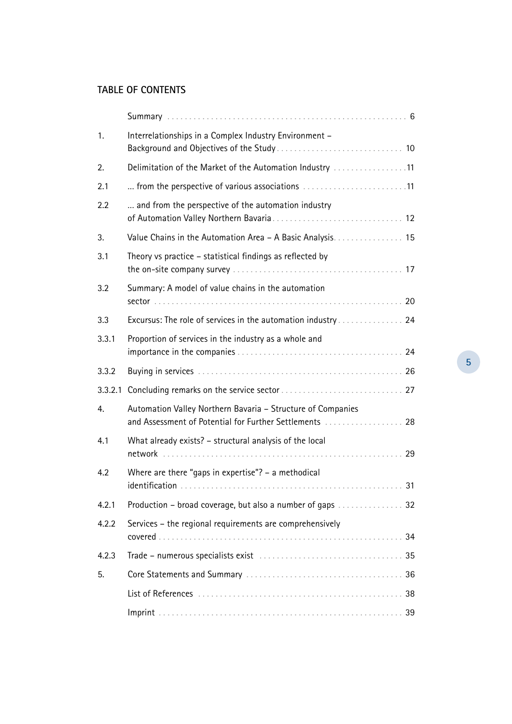# **Table of Contents**

| 1.    | Interrelationships in a Complex Industry Environment -                                                                 |  |
|-------|------------------------------------------------------------------------------------------------------------------------|--|
| 2.    | Delimitation of the Market of the Automation Industry 11                                                               |  |
| 2.1   | from the perspective of various associations 11                                                                        |  |
| 2.2   | and from the perspective of the automation industry                                                                    |  |
| 3.    | Value Chains in the Automation Area - A Basic Analysis. 15                                                             |  |
| 3.1   | Theory vs practice – statistical findings as reflected by                                                              |  |
| 3.2   | Summary: A model of value chains in the automation                                                                     |  |
| 3.3   |                                                                                                                        |  |
| 3.3.1 | Proportion of services in the industry as a whole and                                                                  |  |
| 3.3.2 |                                                                                                                        |  |
|       |                                                                                                                        |  |
| 4.    | Automation Valley Northern Bavaria - Structure of Companies<br>and Assessment of Potential for Further Settlements  28 |  |
| 4.1   | What already exists? - structural analysis of the local                                                                |  |
| 4.2   | Where are there "gaps in expertise"? $-$ a methodical<br>31                                                            |  |
| 4.2.1 |                                                                                                                        |  |
| 4.2.2 | Services – the regional requirements are comprehensively<br>34                                                         |  |
| 4.2.3 | 35                                                                                                                     |  |
| 5.    |                                                                                                                        |  |
|       |                                                                                                                        |  |
|       |                                                                                                                        |  |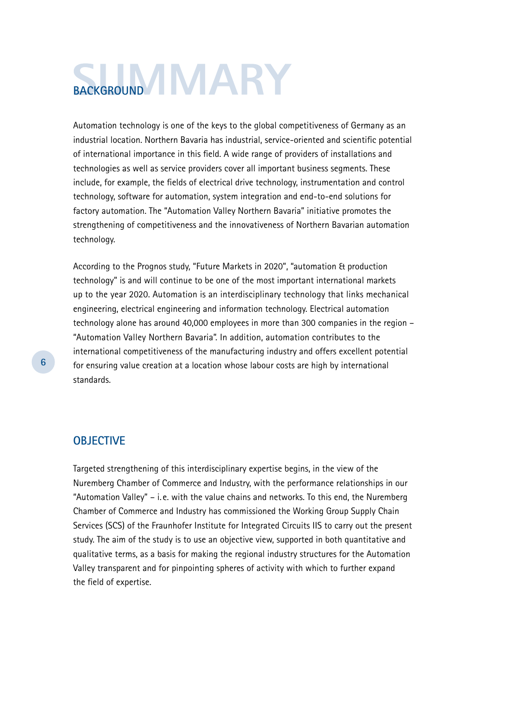# **BACKGROUND**

Automation technology is one of the keys to the global competitiveness of Germany as an industrial location. Northern Bavaria has industrial, service-oriented and scientific potential of international importance in this field. A wide range of providers of installations and technologies as well as service providers cover all important business segments. These include, for example, the fields of electrical drive technology, instrumentation and control technology, software for automation, system integration and end-to-end solutions for factory automation. The "Automation Valley Northern Bavaria" initiative promotes the strengthening of competitiveness and the innovativeness of Northern Bavarian automation technology.

According to the Prognos study, "Future Markets in 2020", "automation & production technology" is and will continue to be one of the most important international markets up to the year 2020. Automation is an interdisciplinary technology that links mechanical engineering, electrical engineering and information technology. Electrical automation technology alone has around 40,000 employees in more than 300 companies in the region – "Automation Valley Northern Bavaria". In addition, automation contributes to the international competitiveness of the manufacturing industry and offers excellent potential for ensuring value creation at a location whose labour costs are high by international standards.

# **OBJECTIVE**

Targeted strengthening of this interdisciplinary expertise begins, in the view of the Nuremberg Chamber of Commerce and Industry, with the performance relationships in our "Automation Valley" – i. e. with the value chains and networks. To this end, the Nuremberg Chamber of Commerce and Industry has commissioned the Working Group Supply Chain Services (SCS) of the Fraunhofer Institute for Integrated Circuits IIS to carry out the present study. The aim of the study is to use an objective view, supported in both quantitative and qualitative terms, as a basis for making the regional industry structures for the Automation Valley transparent and for pinpointing spheres of activity with which to further expand the field of expertise.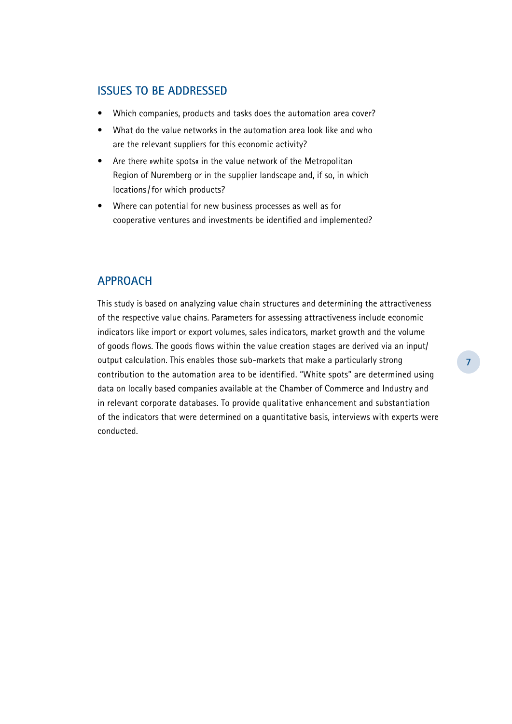# **Issues to be Addressed**

- Which companies, products and tasks does the automation area cover?
- What do the value networks in the automation area look like and who are the relevant suppliers for this economic activity?
- Are there »white spots« in the value network of the Metropolitan Region of Nuremberg or in the supplier landscape and, if so, in which locations/for which products?
- Where can potential for new business processes as well as for cooperative ventures and investments be identified and implemented?

# **Approach**

This study is based on analyzing value chain structures and determining the attractiveness of the respective value chains. Parameters for assessing attractiveness include economic indicators like import or export volumes, sales indicators, market growth and the volume of goods flows. The goods flows within the value creation stages are derived via an input/ output calculation. This enables those sub-markets that make a particularly strong contribution to the automation area to be identified. "White spots" are determined using data on locally based companies available at the Chamber of Commerce and Industry and in relevant corporate databases. To provide qualitative enhancement and substantiation of the indicators that were determined on a quantitative basis, interviews with experts were conducted.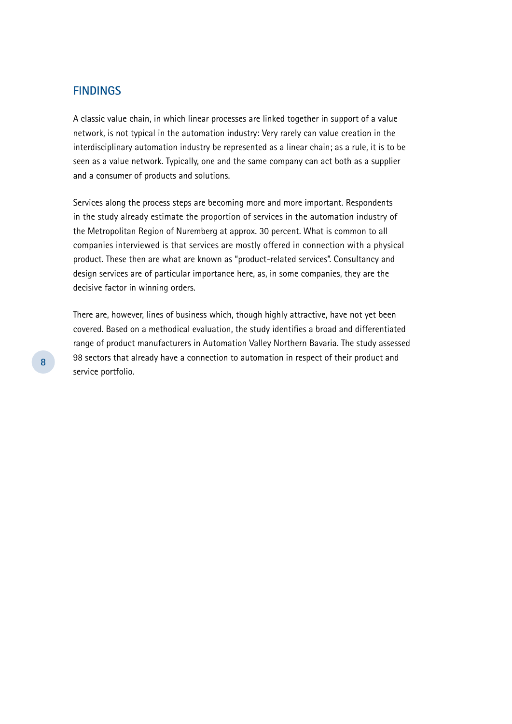# **Findings**

A classic value chain, in which linear processes are linked together in support of a value network, is not typical in the automation industry: Very rarely can value creation in the interdisciplinary automation industry be represented as a linear chain; as a rule, it is to be seen as a value network. Typically, one and the same company can act both as a supplier and a consumer of products and solutions.

Services along the process steps are becoming more and more important. Respondents in the study already estimate the proportion of services in the automation industry of the Metropolitan Region of Nuremberg at approx. 30 percent. What is common to all companies interviewed is that services are mostly offered in connection with a physical product. These then are what are known as "product-related services". Consultancy and design services are of particular importance here, as, in some companies, they are the decisive factor in winning orders.

There are, however, lines of business which, though highly attractive, have not yet been covered. Based on a methodical evaluation, the study identifies a broad and differentiated range of product manufacturers in Automation Valley Northern Bavaria. The study assessed 98 sectors that already have a connection to automation in respect of their product and service portfolio.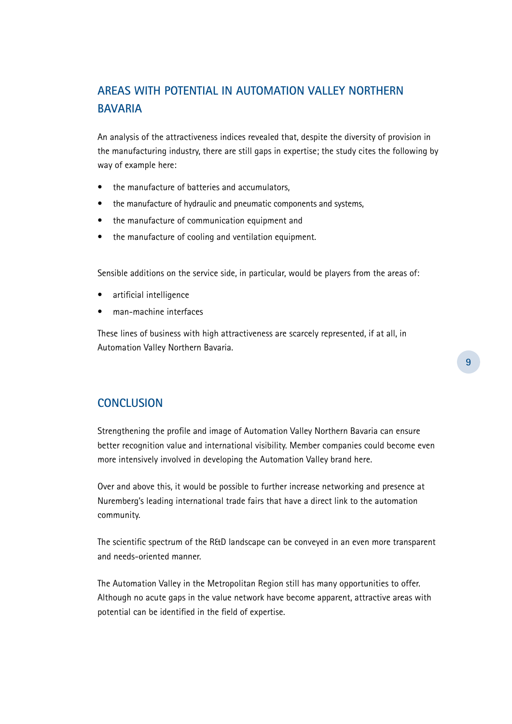# **Areas with potential in Automation Valley Northern Bavaria**

An analysis of the attractiveness indices revealed that, despite the diversity of provision in the manufacturing industry, there are still gaps in expertise; the study cites the following by way of example here:

- the manufacture of batteries and accumulators,
- the manufacture of hydraulic and pneumatic components and systems,
- • the manufacture of communication equipment and
- the manufacture of cooling and ventilation equipment.

Sensible additions on the service side, in particular, would be players from the areas of:

- • artificial intelligence
- man-machine interfaces

These lines of business with high attractiveness are scarcely represented, if at all, in Automation Valley Northern Bavaria.

# **Conclusion**

Strengthening the profile and image of Automation Valley Northern Bavaria can ensure better recognition value and international visibility. Member companies could become even more intensively involved in developing the Automation Valley brand here.

Over and above this, it would be possible to further increase networking and presence at Nuremberg's leading international trade fairs that have a direct link to the automation community.

The scientific spectrum of the R&D landscape can be conveyed in an even more transparent and needs-oriented manner.

The Automation Valley in the Metropolitan Region still has many opportunities to offer. Although no acute gaps in the value network have become apparent, attractive areas with potential can be identified in the field of expertise.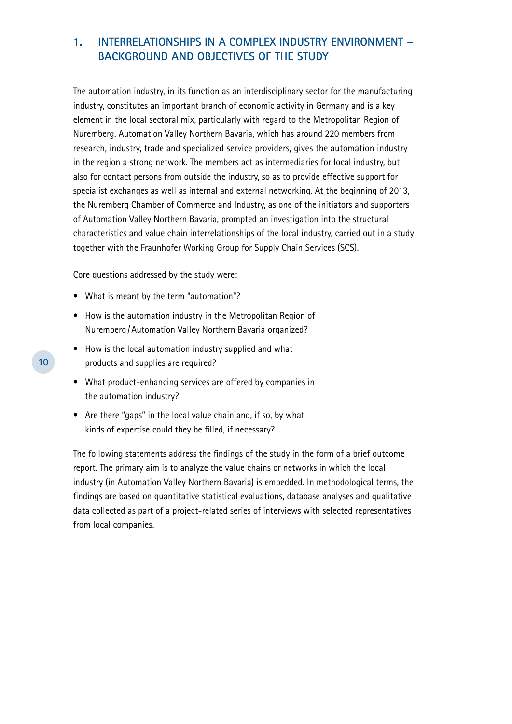# **1. Interrelationships in a Complex Industry Environment – Background and Objectives of the Study**

The automation industry, in its function as an interdisciplinary sector for the manufacturing industry, constitutes an important branch of economic activity in Germany and is a key element in the local sectoral mix, particularly with regard to the Metropolitan Region of Nuremberg. Automation Valley Northern Bavaria, which has around 220 members from research, industry, trade and specialized service providers, gives the automation industry in the region a strong network. The members act as intermediaries for local industry, but also for contact persons from outside the industry, so as to provide effective support for specialist exchanges as well as internal and external networking. At the beginning of 2013, the Nuremberg Chamber of Commerce and Industry, as one of the initiators and supporters of Automation Valley Northern Bavaria, prompted an investigation into the structural characteristics and value chain interrelationships of the local industry, carried out in a study together with the Fraunhofer Working Group for Supply Chain Services (SCS).

Core questions addressed by the study were:

- What is meant by the term "automation"?
- How is the automation industry in the Metropolitan Region of Nuremberg /Automation Valley Northern Bavaria organized?
- How is the local automation industry supplied and what products and supplies are required?
- What product-enhancing services are offered by companies in the automation industry?
- Are there "gaps" in the local value chain and, if so, by what kinds of expertise could they be filled, if necessary?

The following statements address the findings of the study in the form of a brief outcome report. The primary aim is to analyze the value chains or networks in which the local industry (in Automation Valley Northern Bavaria) is embedded. In methodological terms, the findings are based on quantitative statistical evaluations, database analyses and qualitative data collected as part of a project-related series of interviews with selected representatives from local companies.

**10**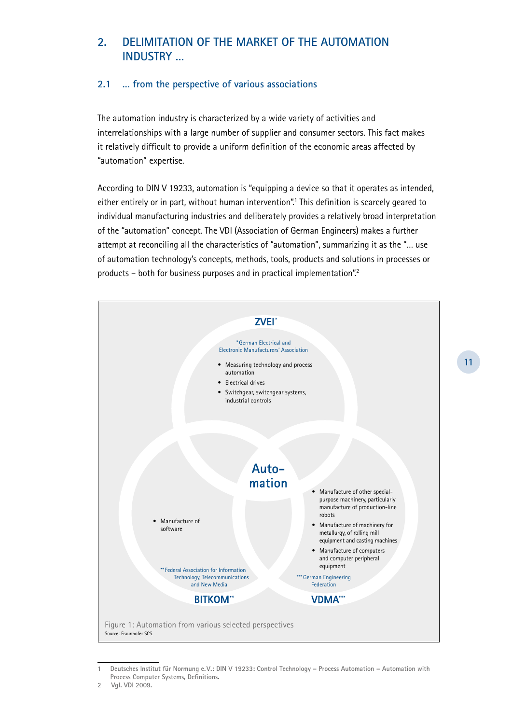# **2. Delimitation of the Market of the Automation Industry …**

### **2.1 … from the perspective of various associations**

The automation industry is characterized by a wide variety of activities and interrelationships with a large number of supplier and consumer sectors. This fact makes it relatively difficult to provide a uniform definition of the economic areas affected by "automation" expertise.

According to DIN V 19233, automation is "equipping a device so that it operates as intended, either entirely or in part, without human intervention".1 This definition is scarcely geared to individual manufacturing industries and deliberately provides a relatively broad interpretation of the "automation" concept. The VDI (Association of German Engineers) makes a further attempt at reconciling all the characteristics of "automation", summarizing it as the "… use of automation technology's concepts, methods, tools, products and solutions in processes or products – both for business purposes and in practical implementation".<sup>2</sup>



**<sup>1</sup> Deutsches Institut für Normung e. V.: DIN V 19233: Control Technology – Process Automation – Automation with Process Computer Systems, Definitions.**

**<sup>2</sup> Vgl. VDI 2009.**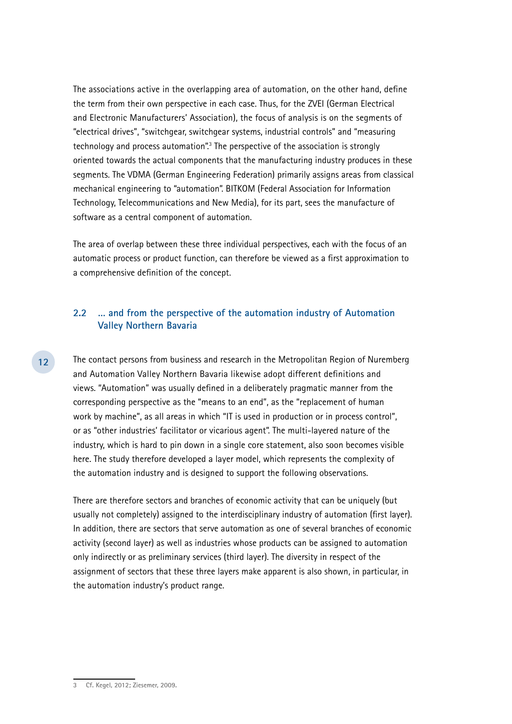The associations active in the overlapping area of automation, on the other hand, define the term from their own perspective in each case. Thus, for the ZVEI (German Electrical and Electronic Manufacturers' Association), the focus of analysis is on the segments of "electrical drives", "switchgear, switchgear systems, industrial controls" and "measuring technology and process automation".<sup>3</sup> The perspective of the association is strongly oriented towards the actual components that the manufacturing industry produces in these segments. The VDMA (German Engineering Federation) primarily assigns areas from classical mechanical engineering to "automation". BITKOM (Federal Association for Information Technology, Telecommunications and New Media), for its part, sees the manufacture of software as a central component of automation.

The area of overlap between these three individual perspectives, each with the focus of an automatic process or product function, can therefore be viewed as a first approximation to a comprehensive definition of the concept.

#### **2.2 … and from the perspective of the automation industry of Automation Valley Northern Bavaria**

The contact persons from business and research in the Metropolitan Region of Nuremberg and Automation Valley Northern Bavaria likewise adopt different definitions and views. "Automation" was usually defined in a deliberately pragmatic manner from the corresponding perspective as the "means to an end", as the "replacement of human work by machine", as all areas in which "IT is used in production or in process control", or as "other industries' facilitator or vicarious agent". The multi-layered nature of the industry, which is hard to pin down in a single core statement, also soon becomes visible here. The study therefore developed a layer model, which represents the complexity of the automation industry and is designed to support the following observations.

There are therefore sectors and branches of economic activity that can be uniquely (but usually not completely) assigned to the interdisciplinary industry of automation (first layer). In addition, there are sectors that serve automation as one of several branches of economic activity (second layer) as well as industries whose products can be assigned to automation only indirectly or as preliminary services (third layer). The diversity in respect of the assignment of sectors that these three layers make apparent is also shown, in particular, in the automation industry's product range.

**<sup>3</sup> Cf. Kegel, 2012; Ziesemer, 2009.**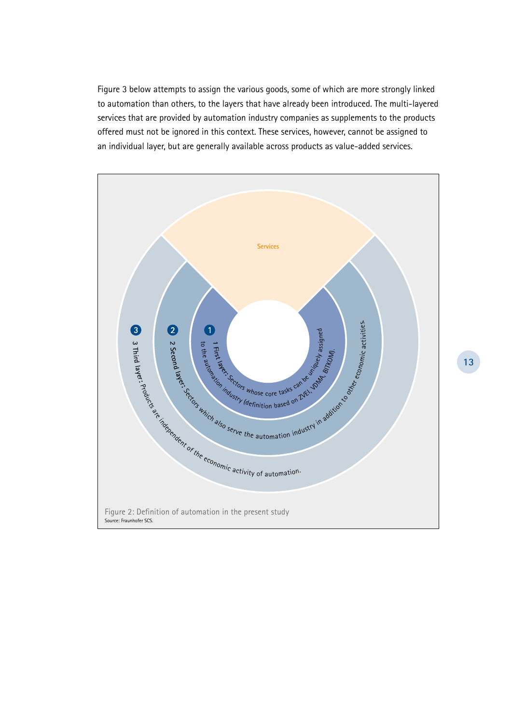Figure 3 below attempts to assign the various goods, some of which are more strongly linked to automation than others, to the layers that have already been introduced. The multi-layered services that are provided by automation industry companies as supplements to the products offered must not be ignored in this context. These services, however, cannot be assigned to an individual layer, but are generally available across products as value-added services.

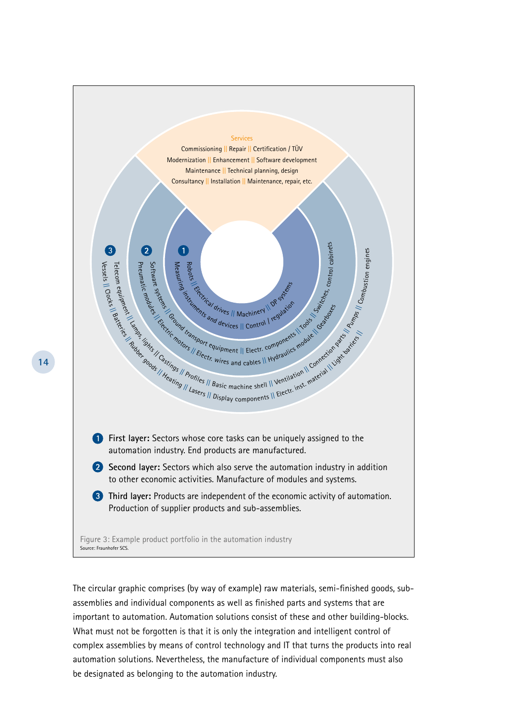

The circular graphic comprises (by way of example) raw materials, semi-finished goods, subassemblies and individual components as well as finished parts and systems that are important to automation. Automation solutions consist of these and other building-blocks. What must not be forgotten is that it is only the integration and intelligent control of complex assemblies by means of control technology and IT that turns the products into real automation solutions. Nevertheless, the manufacture of individual components must also be designated as belonging to the automation industry.

**14**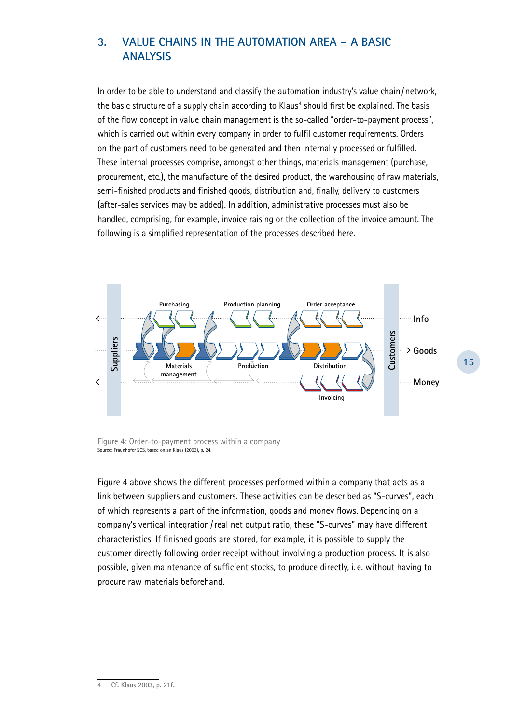# **3. Value Chains in the Automation Area – A Basic Analysis**

In order to be able to understand and classify the automation industry's value chain/network, the basic structure of a supply chain according to Klaus<sup>4</sup> should first be explained. The basis of the flow concept in value chain management is the so-called "order-to-payment process", which is carried out within every company in order to fulfil customer requirements. Orders on the part of customers need to be generated and then internally processed or fulfilled. These internal processes comprise, amongst other things, materials management (purchase, procurement, etc.), the manufacture of the desired product, the warehousing of raw materials, semi-finished products and finished goods, distribution and, finally, delivery to customers (after-sales services may be added). In addition, administrative processes must also be handled, comprising, for example, invoice raising or the collection of the invoice amount. The following is a simplified representation of the processes described here.



Figure 4: Order-to-payment process within a company Source: Fraunhofer SCS, based on an Klaus (2003), p. 24.

Figure 4 above shows the different processes performed within a company that acts as a link between suppliers and customers. These activities can be described as "S-curves", each of which represents a part of the information, goods and money flows. Depending on a company's vertical integration/real net output ratio, these "S-curves" may have different characteristics. If finished goods are stored, for example, it is possible to supply the customer directly following order receipt without involving a production process. It is also possible, given maintenance of sufficient stocks, to produce directly, i. e. without having to procure raw materials beforehand.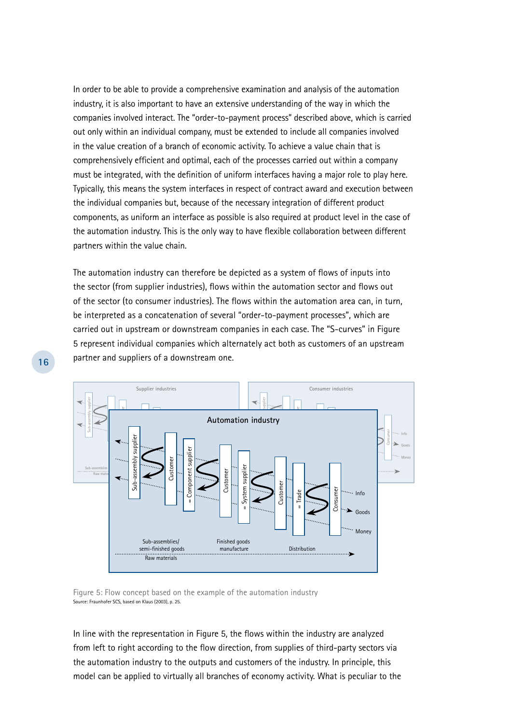In order to be able to provide a comprehensive examination and analysis of the automation industry, it is also important to have an extensive understanding of the way in which the companies involved interact. The "order-to-payment process" described above, which is carried out only within an individual company, must be extended to include all companies involved in the value creation of a branch of economic activity. To achieve a value chain that is comprehensively efficient and optimal, each of the processes carried out within a company must be integrated, with the definition of uniform interfaces having a major role to play here. Typically, this means the system interfaces in respect of contract award and execution between the individual companies but, because of the necessary integration of different product components, as uniform an interface as possible is also required at product level in the case of the automation industry. This is the only way to have flexible collaboration between different partners within the value chain.

The automation industry can therefore be depicted as a system of flows of inputs into the sector (from supplier industries), flows within the automation sector and flows out of the sector (to consumer industries). The flows within the automation area can, in turn, be interpreted as a concatenation of several "order-to-payment processes", which are carried out in upstream or downstream companies in each case. The "S-curves" in Figure 5 represent individual companies which alternately act both as customers of an upstream partner and suppliers of a downstream one.



Figure 5: Flow concept based on the example of the automation industry Source: Fraunhofer SCS, based on Klaus (2003), p. 25.

In line with the representation in Figure 5, the flows within the industry are analyzed from left to right according to the flow direction, from supplies of third-party sectors via the automation industry to the outputs and customers of the industry. In principle, this model can be applied to virtually all branches of economy activity. What is peculiar to the

**16**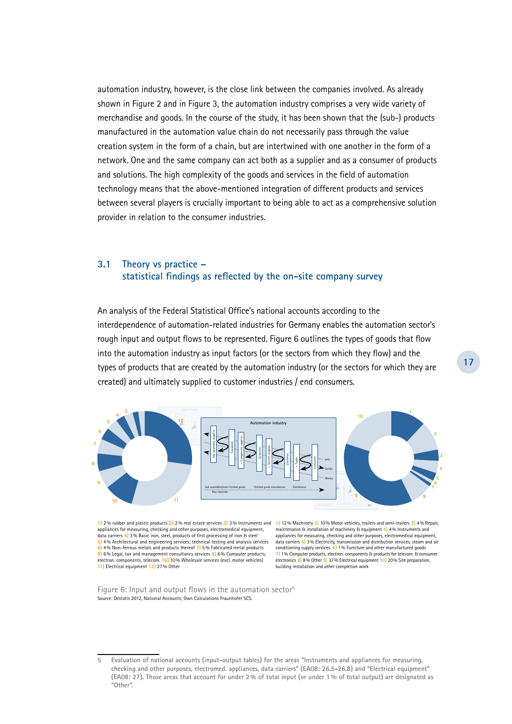automation industry, however, is the close link between the companies involved. As already shown in Figure 2 and in Figure 3, the automation industry comprises a very wide variety of merchandise and goods. In the course of the study, it has been shown that the (sub-) products manufactured in the automation value chain do not necessarily pass through the value creation system in the form of a chain, but are intertwined with one another in the form of a network. One and the same company can act both as a supplier and as a consumer of products and solutions. The high complexity of the goods and services in the field of automation technology means that the above-mentioned integration of different products and services between several players is crucially important to being able to act as a comprehensive solution provider in relation to the consumer industries.

#### **3.1 Theory vs practice – statistical findings as reflected by the on-site company survey**

An analysis of the Federal Statistical Office's national accounts according to the interdependence of automation-related industries for Germany enables the automation sector's rough input and output flows to be represented. Figure 6 outlines the types of goods that flow into the automation industry as input factors (or the sectors from which they flow) and the types of products that are created by the automation industry (or the sectors for which they are created) and ultimately supplied to customer industries / end consumers.



**1)** 2% rubber and plastic products **2)** 2% real estate services **3)** 3% Instruments and **1)** 12% Machinery **2)** 10% Motor vehicles, trailers and semi-trailers **3)** 4% Repair, appliances for measuring, checking and other purposes, electromedical equipment, data carriers **4)** 3% Basic iron, steel, products of first processing of iron & steel **5)** 4% Architectural and engineering services; technical testing and analysis services **6)** 4% Non-ferrous metals and products thereof **7)** 5% Fabricated metal products **8)** 6% Legal, tax and management consultancy services **9)** 6% Computer products, electron. components, telecom. **10)** 10% Wholesale services (excl. motor vehicles) **11)** Electrical equipment **12)** 27% Other

maintenance & installation of machinery & equipment **4)** 4% Instruments and appliances for measuring, checking and other purposes, electromedical equipment, data carriers **5)** 3% Electricity, transmission and distribution services, steam and air conditioning supply services. **6)** 1% Furniture and other manufactured goods **7)** 1% Computer products, electron. components & products for telecom. & consumer electronics **8)** 8% Other **9)** 37% Electrical equipment **10)** 20% Site preparation, building installation and other completion work

Figure 6: Input and output flows in the automation sector<sup>5</sup> Source: Destatis 2012, National Accounts; Own Calculations Fraunhofer SCS.

**<sup>5</sup> Evaluation of national accounts (input-output tables) for the areas "Instruments and appliances for measuring, checking and other purposes, electromed. appliances, data carriers" (EA08: 26.5-26.8) and "Electrical equipment" (EA08: 27). Those areas that account for under 2% of total input (or under 1% of total output) are designated as "Other".**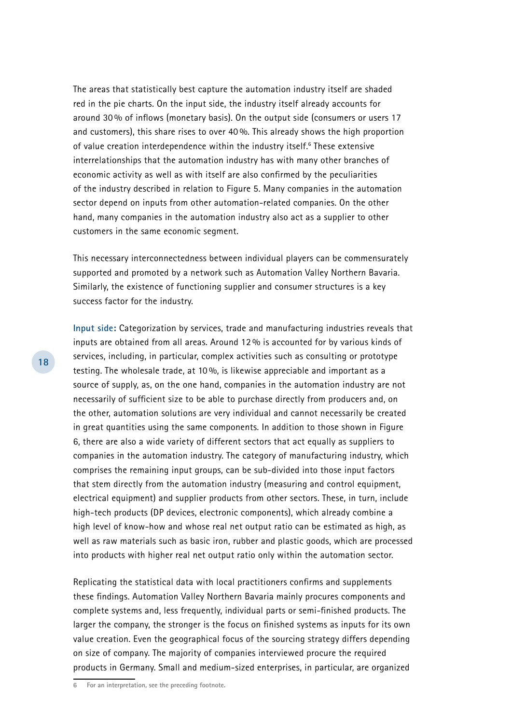The areas that statistically best capture the automation industry itself are shaded red in the pie charts. On the input side, the industry itself already accounts for around 30 % of inflows (monetary basis). On the output side (consumers or users 17 and customers), this share rises to over 40 %. This already shows the high proportion of value creation interdependence within the industry itself.<sup>6</sup> These extensive interrelationships that the automation industry has with many other branches of economic activity as well as with itself are also confirmed by the peculiarities of the industry described in relation to Figure 5. Many companies in the automation sector depend on inputs from other automation-related companies. On the other hand, many companies in the automation industry also act as a supplier to other customers in the same economic segment.

This necessary interconnectedness between individual players can be commensurately supported and promoted by a network such as Automation Valley Northern Bavaria. Similarly, the existence of functioning supplier and consumer structures is a key success factor for the industry.

**Input side:** Categorization by services, trade and manufacturing industries reveals that inputs are obtained from all areas. Around 12 % is accounted for by various kinds of services, including, in particular, complex activities such as consulting or prototype testing. The wholesale trade, at 10 %, is likewise appreciable and important as a source of supply, as, on the one hand, companies in the automation industry are not necessarily of sufficient size to be able to purchase directly from producers and, on the other, automation solutions are very individual and cannot necessarily be created in great quantities using the same components. In addition to those shown in Figure 6, there are also a wide variety of different sectors that act equally as suppliers to companies in the automation industry. The category of manufacturing industry, which comprises the remaining input groups, can be sub-divided into those input factors that stem directly from the automation industry (measuring and control equipment, electrical equipment) and supplier products from other sectors. These, in turn, include high-tech products (DP devices, electronic components), which already combine a high level of know-how and whose real net output ratio can be estimated as high, as well as raw materials such as basic iron, rubber and plastic goods, which are processed into products with higher real net output ratio only within the automation sector.

Replicating the statistical data with local practitioners confirms and supplements these findings. Automation Valley Northern Bavaria mainly procures components and complete systems and, less frequently, individual parts or semi-finished products. The larger the company, the stronger is the focus on finished systems as inputs for its own value creation. Even the geographical focus of the sourcing strategy differs depending on size of company. The majority of companies interviewed procure the required products in Germany. Small and medium-sized enterprises, in particular, are organized

**6 For an interpretation, see the preceding footnote.**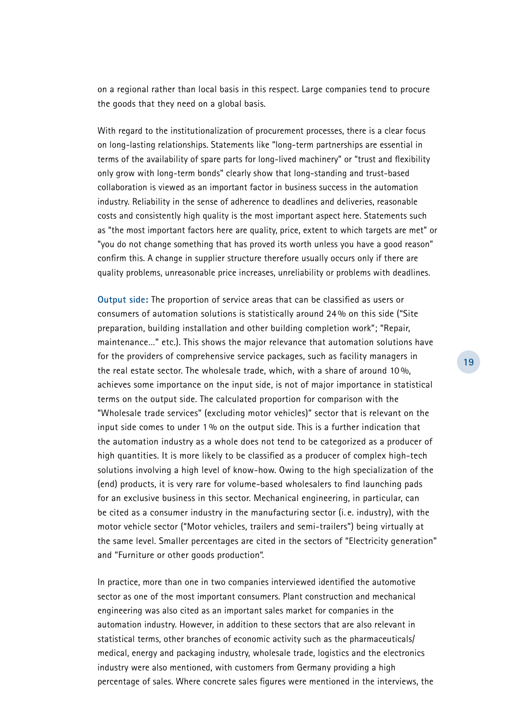on a regional rather than local basis in this respect. Large companies tend to procure the goods that they need on a global basis.

With regard to the institutionalization of procurement processes, there is a clear focus on long-lasting relationships. Statements like "long-term partnerships are essential in terms of the availability of spare parts for long-lived machinery" or "trust and flexibility only grow with long-term bonds" clearly show that long-standing and trust-based collaboration is viewed as an important factor in business success in the automation industry. Reliability in the sense of adherence to deadlines and deliveries, reasonable costs and consistently high quality is the most important aspect here. Statements such as "the most important factors here are quality, price, extent to which targets are met" or "you do not change something that has proved its worth unless you have a good reason" confirm this. A change in supplier structure therefore usually occurs only if there are quality problems, unreasonable price increases, unreliability or problems with deadlines.

**Output side:** The proportion of service areas that can be classified as users or consumers of automation solutions is statistically around 24 % on this side ("Site preparation, building installation and other building completion work"; "Repair, maintenance…" etc.). This shows the major relevance that automation solutions have for the providers of comprehensive service packages, such as facility managers in the real estate sector. The wholesale trade, which, with a share of around 10 %, achieves some importance on the input side, is not of major importance in statistical terms on the output side. The calculated proportion for comparison with the "Wholesale trade services" (excluding motor vehicles)" sector that is relevant on the input side comes to under 1% on the output side. This is a further indication that the automation industry as a whole does not tend to be categorized as a producer of high quantities. It is more likely to be classified as a producer of complex high-tech solutions involving a high level of know-how. Owing to the high specialization of the (end) products, it is very rare for volume-based wholesalers to find launching pads for an exclusive business in this sector. Mechanical engineering, in particular, can be cited as a consumer industry in the manufacturing sector (i. e. industry), with the motor vehicle sector ("Motor vehicles, trailers and semi-trailers") being virtually at the same level. Smaller percentages are cited in the sectors of "Electricity generation" and "Furniture or other goods production".

In practice, more than one in two companies interviewed identified the automotive sector as one of the most important consumers. Plant construction and mechanical engineering was also cited as an important sales market for companies in the automation industry. However, in addition to these sectors that are also relevant in statistical terms, other branches of economic activity such as the pharmaceuticals/ medical, energy and packaging industry, wholesale trade, logistics and the electronics industry were also mentioned, with customers from Germany providing a high percentage of sales. Where concrete sales figures were mentioned in the interviews, the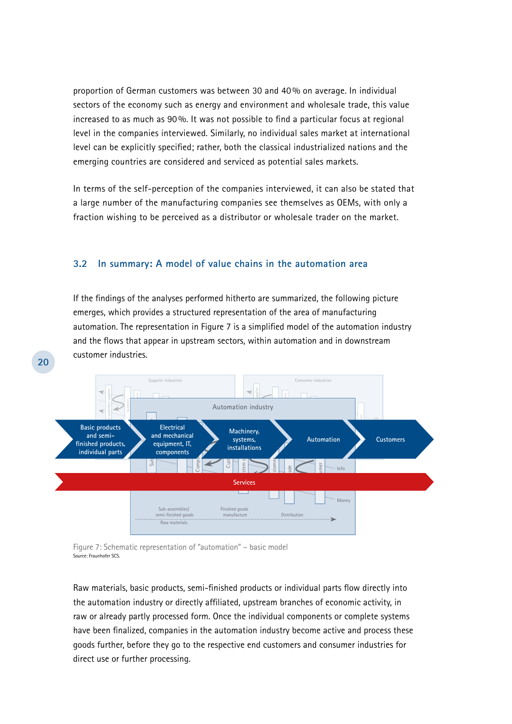proportion of German customers was between 30 and 40 % on average. In individual sectors of the economy such as energy and environment and wholesale trade, this value increased to as much as 90 %. It was not possible to find a particular focus at regional level in the companies interviewed. Similarly, no individual sales market at international level can be explicitly specified; rather, both the classical industrialized nations and the emerging countries are considered and serviced as potential sales markets.

In terms of the self-perception of the companies interviewed, it can also be stated that a large number of the manufacturing companies see themselves as OEMs, with only a fraction wishing to be perceived as a distributor or wholesale trader on the market.

#### **3.2 In summary: A model of value chains in the automation area**

If the findings of the analyses performed hitherto are summarized, the following picture emerges, which provides a structured representation of the area of manufacturing automation. The representation in Figure 7 is a simplified model of the automation industry and the flows that appear in upstream sectors, within automation and in downstream customer industries.



Figure 7: Schematic representation of "automation" – basic model Source: Fraunhofer SCS.

**20**

Raw materials, basic products, semi-finished products or individual parts flow directly into the automation industry or directly affiliated, upstream branches of economic activity, in raw or already partly processed form. Once the individual components or complete systems have been finalized, companies in the automation industry become active and process these goods further, before they go to the respective end customers and consumer industries for direct use or further processing.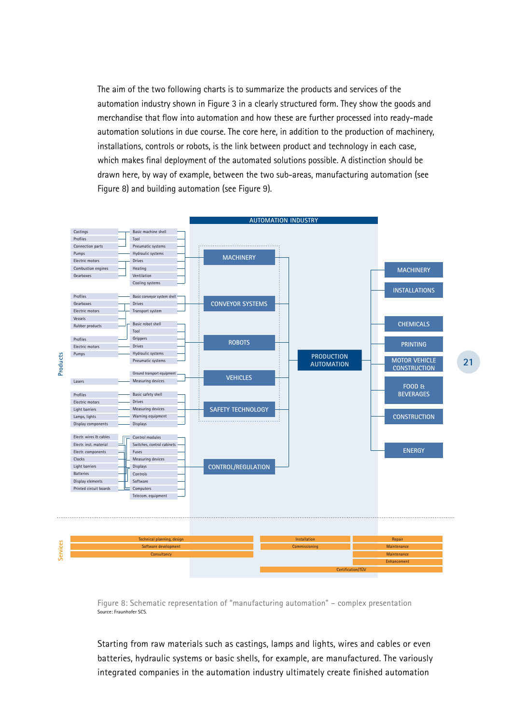The aim of the two following charts is to summarize the products and services of the automation industry shown in Figure 3 in a clearly structured form. They show the goods and merchandise that flow into automation and how these are further processed into ready-made automation solutions in due course. The core here, in addition to the production of machinery, installations, controls or robots, is the link between product and technology in each case, which makes final deployment of the automated solutions possible. A distinction should be drawn here, by way of example, between the two sub-areas, manufacturing automation (see Figure 8) and building automation (see Figure 9).



Figure 8: Schematic representation of "manufacturing automation" – complex presentation Source: Fraunhofer SCS.

Starting from raw materials such as castings, lamps and lights, wires and cables or even batteries, hydraulic systems or basic shells, for example, are manufactured. The variously integrated companies in the automation industry ultimately create finished automation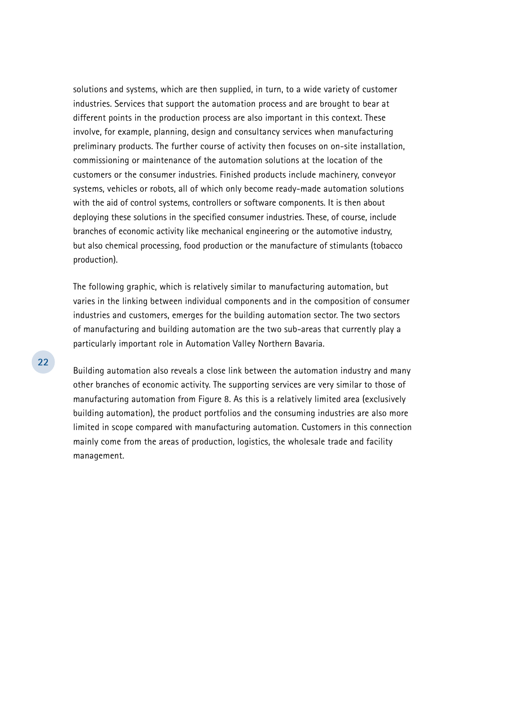solutions and systems, which are then supplied, in turn, to a wide variety of customer industries. Services that support the automation process and are brought to bear at different points in the production process are also important in this context. These involve, for example, planning, design and consultancy services when manufacturing preliminary products. The further course of activity then focuses on on-site installation, commissioning or maintenance of the automation solutions at the location of the customers or the consumer industries. Finished products include machinery, conveyor systems, vehicles or robots, all of which only become ready-made automation solutions with the aid of control systems, controllers or software components. It is then about deploying these solutions in the specified consumer industries. These, of course, include branches of economic activity like mechanical engineering or the automotive industry, but also chemical processing, food production or the manufacture of stimulants (tobacco production).

The following graphic, which is relatively similar to manufacturing automation, but varies in the linking between individual components and in the composition of consumer industries and customers, emerges for the building automation sector. The two sectors of manufacturing and building automation are the two sub-areas that currently play a particularly important role in Automation Valley Northern Bavaria.

Building automation also reveals a close link between the automation industry and many other branches of economic activity. The supporting services are very similar to those of manufacturing automation from Figure 8. As this is a relatively limited area (exclusively building automation), the product portfolios and the consuming industries are also more limited in scope compared with manufacturing automation. Customers in this connection mainly come from the areas of production, logistics, the wholesale trade and facility management.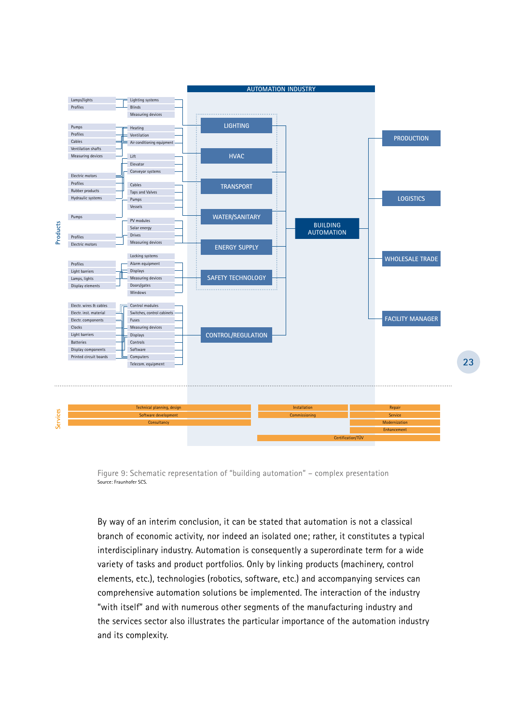

Figure 9: Schematic representation of "building automation" – complex presentation Source: Fraunhofer SCS.

By way of an interim conclusion, it can be stated that automation is not a classical branch of economic activity, nor indeed an isolated one; rather, it constitutes a typical interdisciplinary industry. Automation is consequently a superordinate term for a wide variety of tasks and product portfolios. Only by linking products (machinery, control elements, etc.), technologies (robotics, software, etc.) and accompanying services can comprehensive automation solutions be implemented. The interaction of the industry "with itself" and with numerous other segments of the manufacturing industry and the services sector also illustrates the particular importance of the automation industry and its complexity.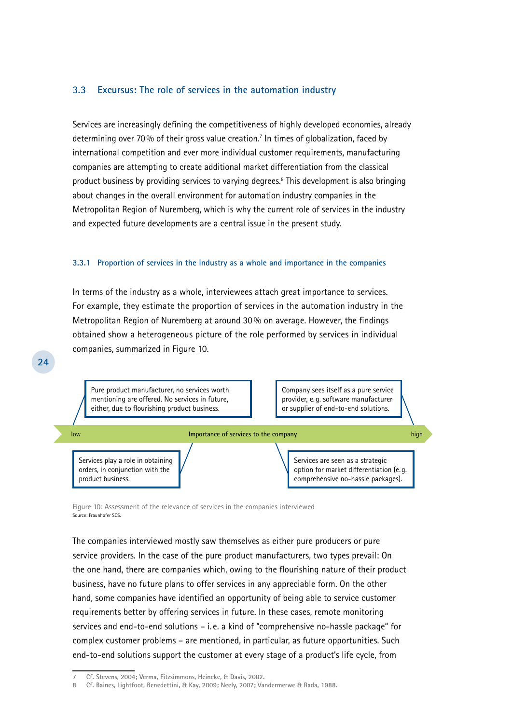#### **3.3 Excursus: The role of services in the automation industry**

Services are increasingly defining the competitiveness of highly developed economies, already determining over 70% of their gross value creation.7 In times of globalization, faced by international competition and ever more individual customer requirements, manufacturing companies are attempting to create additional market differentiation from the classical product business by providing services to varying degrees.<sup>8</sup> This development is also bringing about changes in the overall environment for automation industry companies in the Metropolitan Region of Nuremberg, which is why the current role of services in the industry and expected future developments are a central issue in the present study.

#### **3.3.1 Proportion of services in the industry as a whole and importance in the companies**

In terms of the industry as a whole, interviewees attach great importance to services. For example, they estimate the proportion of services in the automation industry in the Metropolitan Region of Nuremberg at around 30% on average. However, the findings obtained show a heterogeneous picture of the role performed by services in individual companies, summarized in Figure 10.



Figure 10: Assessment of the relevance of services in the companies interviewed Source: Fraunhofer SCS.

**24**

The companies interviewed mostly saw themselves as either pure producers or pure service providers. In the case of the pure product manufacturers, two types prevail: On the one hand, there are companies which, owing to the flourishing nature of their product business, have no future plans to offer services in any appreciable form. On the other hand, some companies have identified an opportunity of being able to service customer requirements better by offering services in future. In these cases, remote monitoring services and end-to-end solutions – i. e. a kind of "comprehensive no-hassle package" for complex customer problems – are mentioned, in particular, as future opportunities. Such end-to-end solutions support the customer at every stage of a product's life cycle, from

**<sup>7</sup> Cf. Stevens, 2004; Verma, Fitzsimmons, Heineke, & Davis, 2002.**

**<sup>8</sup> Cf. Baines, Lightfoot, Benedettini, & Kay, 2009; Neely, 2007; Vandermerwe & Rada, 1988.**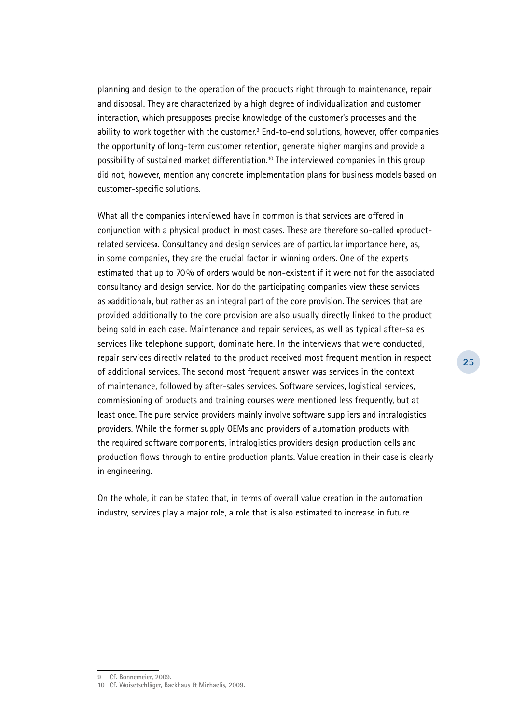planning and design to the operation of the products right through to maintenance, repair and disposal. They are characterized by a high degree of individualization and customer interaction, which presupposes precise knowledge of the customer's processes and the ability to work together with the customer.<sup>9</sup> End-to-end solutions, however, offer companies the opportunity of long-term customer retention, generate higher margins and provide a possibility of sustained market differentiation.10 The interviewed companies in this group did not, however, mention any concrete implementation plans for business models based on customer-specific solutions.

What all the companies interviewed have in common is that services are offered in conjunction with a physical product in most cases. These are therefore so-called »productrelated services«. Consultancy and design services are of particular importance here, as, in some companies, they are the crucial factor in winning orders. One of the experts estimated that up to 70% of orders would be non-existent if it were not for the associated consultancy and design service. Nor do the participating companies view these services as »additional«, but rather as an integral part of the core provision. The services that are provided additionally to the core provision are also usually directly linked to the product being sold in each case. Maintenance and repair services, as well as typical after-sales services like telephone support, dominate here. In the interviews that were conducted, repair services directly related to the product received most frequent mention in respect of additional services. The second most frequent answer was services in the context of maintenance, followed by after-sales services. Software services, logistical services, commissioning of products and training courses were mentioned less frequently, but at least once. The pure service providers mainly involve software suppliers and intralogistics providers. While the former supply OEMs and providers of automation products with the required software components, intralogistics providers design production cells and production flows through to entire production plants. Value creation in their case is clearly in engineering.

On the whole, it can be stated that, in terms of overall value creation in the automation industry, services play a major role, a role that is also estimated to increase in future.

**25**

**<sup>9</sup> Cf. Bonnemeier, 2009.**

**<sup>10</sup> Cf. Woisetschläger, Backhaus & Michaelis, 2009.**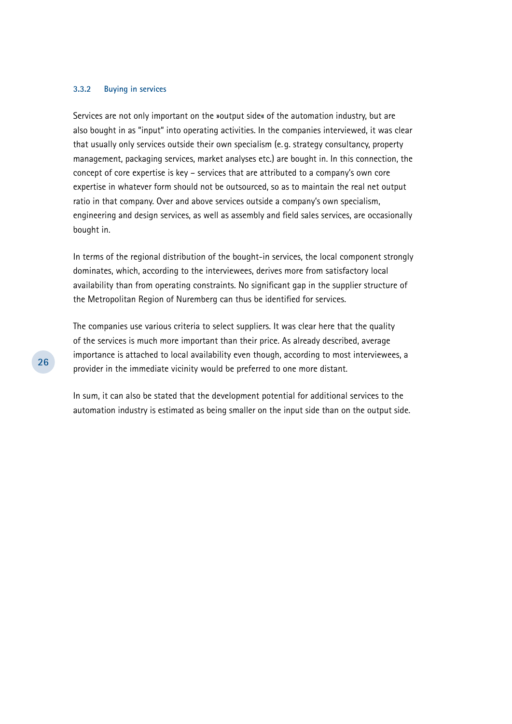#### **3.3.2 Buying in services**

Services are not only important on the »output side« of the automation industry, but are also bought in as "input" into operating activities. In the companies interviewed, it was clear that usually only services outside their own specialism (e. g. strategy consultancy, property management, packaging services, market analyses etc.) are bought in. In this connection, the concept of core expertise is key – services that are attributed to a company's own core expertise in whatever form should not be outsourced, so as to maintain the real net output ratio in that company. Over and above services outside a company's own specialism, engineering and design services, as well as assembly and field sales services, are occasionally bought in.

In terms of the regional distribution of the bought-in services, the local component strongly dominates, which, according to the interviewees, derives more from satisfactory local availability than from operating constraints. No significant gap in the supplier structure of the Metropolitan Region of Nuremberg can thus be identified for services.

The companies use various criteria to select suppliers. It was clear here that the quality of the services is much more important than their price. As already described, average importance is attached to local availability even though, according to most interviewees, a provider in the immediate vicinity would be preferred to one more distant.

In sum, it can also be stated that the development potential for additional services to the automation industry is estimated as being smaller on the input side than on the output side.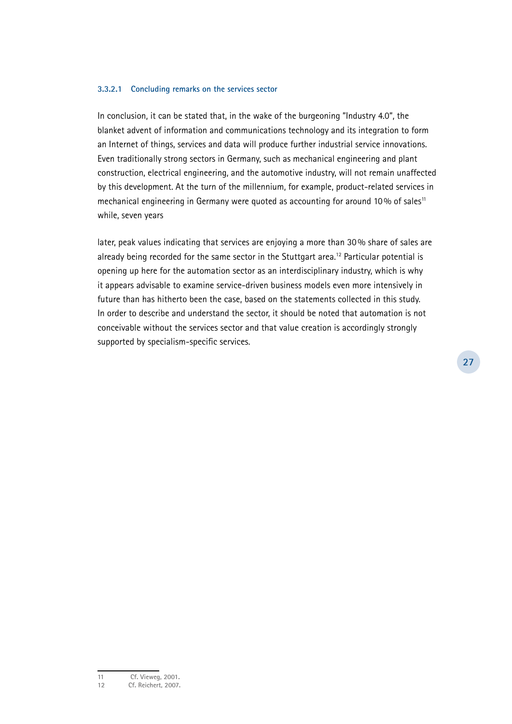#### **3.3.2.1 Concluding remarks on the services sector**

In conclusion, it can be stated that, in the wake of the burgeoning "Industry 4.0", the blanket advent of information and communications technology and its integration to form an Internet of things, services and data will produce further industrial service innovations. Even traditionally strong sectors in Germany, such as mechanical engineering and plant construction, electrical engineering, and the automotive industry, will not remain unaffected by this development. At the turn of the millennium, for example, product-related services in mechanical engineering in Germany were quoted as accounting for around 10% of sales<sup>11</sup> while, seven years

later, peak values indicating that services are enjoying a more than 30% share of sales are already being recorded for the same sector in the Stuttgart area.<sup>12</sup> Particular potential is opening up here for the automation sector as an interdisciplinary industry, which is why it appears advisable to examine service-driven business models even more intensively in future than has hitherto been the case, based on the statements collected in this study. In order to describe and understand the sector, it should be noted that automation is not conceivable without the services sector and that value creation is accordingly strongly supported by specialism-specific services.

**27**

**<sup>11</sup> Cf. Vieweg, 2001.**

**<sup>12</sup> Cf. Reichert, 2007.**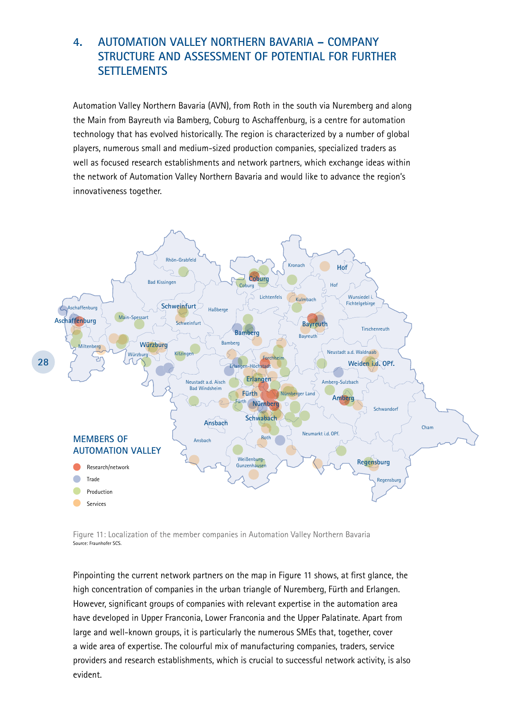# **4. Automation Valley Northern Bavaria – Company Structure and Assessment of Potential for Further Settlements**

Automation Valley Northern Bavaria (AVN), from Roth in the south via Nuremberg and along the Main from Bayreuth via Bamberg, Coburg to Aschaffenburg, is a centre for automation technology that has evolved historically. The region is characterized by a number of global players, numerous small and medium-sized production companies, specialized traders as well as focused research establishments and network partners, which exchange ideas within the network of Automation Valley Northern Bavaria and would like to advance the region's innovativeness together.



Figure 11: Localization of the member companies in Automation Valley Northern Bavaria Source: Fraunhofer SCS.

Pinpointing the current network partners on the map in Figure 11 shows, at first glance, the high concentration of companies in the urban triangle of Nuremberg, Fürth and Erlangen. However, significant groups of companies with relevant expertise in the automation area have developed in Upper Franconia, Lower Franconia and the Upper Palatinate. Apart from large and well-known groups, it is particularly the numerous SMEs that, together, cover a wide area of expertise. The colourful mix of manufacturing companies, traders, service providers and research establishments, which is crucial to successful network activity, is also evident.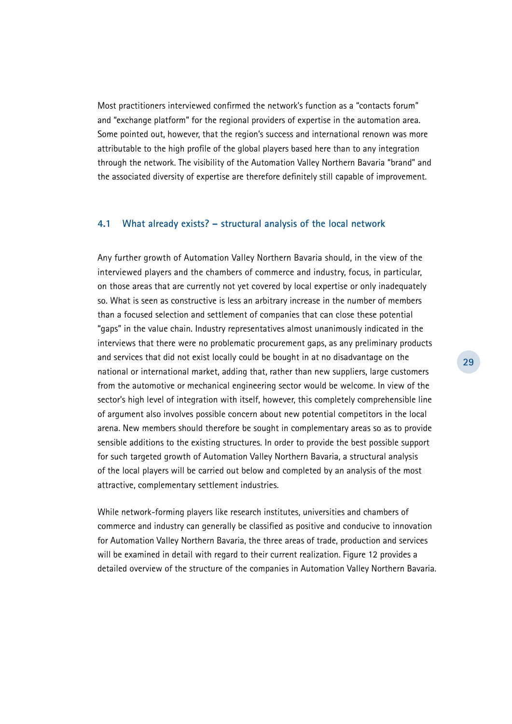Most practitioners interviewed confirmed the network's function as a "contacts forum" and "exchange platform" for the regional providers of expertise in the automation area. Some pointed out, however, that the region's success and international renown was more attributable to the high profile of the global players based here than to any integration through the network. The visibility of the Automation Valley Northern Bavaria "brand" and the associated diversity of expertise are therefore definitely still capable of improvement.

#### **4.1 What already exists? – structural analysis of the local network**

Any further growth of Automation Valley Northern Bavaria should, in the view of the interviewed players and the chambers of commerce and industry, focus, in particular, on those areas that are currently not yet covered by local expertise or only inadequately so. What is seen as constructive is less an arbitrary increase in the number of members than a focused selection and settlement of companies that can close these potential "gaps" in the value chain. Industry representatives almost unanimously indicated in the interviews that there were no problematic procurement gaps, as any preliminary products and services that did not exist locally could be bought in at no disadvantage on the national or international market, adding that, rather than new suppliers, large customers from the automotive or mechanical engineering sector would be welcome. In view of the sector's high level of integration with itself, however, this completely comprehensible line of argument also involves possible concern about new potential competitors in the local arena. New members should therefore be sought in complementary areas so as to provide sensible additions to the existing structures. In order to provide the best possible support for such targeted growth of Automation Valley Northern Bavaria, a structural analysis of the local players will be carried out below and completed by an analysis of the most attractive, complementary settlement industries.

While network-forming players like research institutes, universities and chambers of commerce and industry can generally be classified as positive and conducive to innovation for Automation Valley Northern Bavaria, the three areas of trade, production and services will be examined in detail with regard to their current realization. Figure 12 provides a detailed overview of the structure of the companies in Automation Valley Northern Bavaria.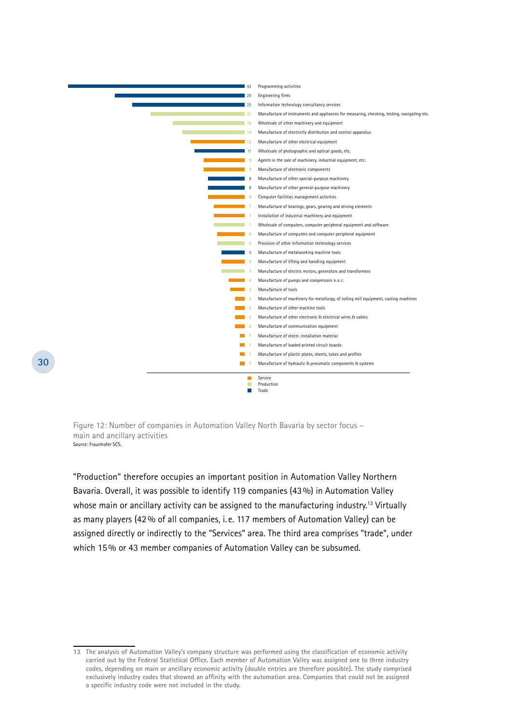

Figure 12: Number of companies in Automation Valley North Bavaria by sector focus – main and ancillary activities Source: Fraunhofer SCS.

"Production" therefore occupies an important position in Automation Valley Northern Bavaria. Overall, it was possible to identify 119 companies (43%) in Automation Valley whose main or ancillary activity can be assigned to the manufacturing industry.<sup>13</sup> Virtually as many players (42% of all companies, i. e. 117 members of Automation Valley) can be assigned directly or indirectly to the "Services" area. The third area comprises "trade", under which 15% or 43 member companies of Automation Valley can be subsumed.

**<sup>13</sup> The analysis of Automation Valley's company structure was performed using the classification of economic activity carried out by the Federal Statistical Office. Each member of Automation Valley was assigned one to three industry codes, depending on main or ancillary economic activity (double entries are therefore possible). The study comprised exclusively industry codes that showed an affinity with the automation area. Companies that could not be assigned a specific industry code were not included in the study.**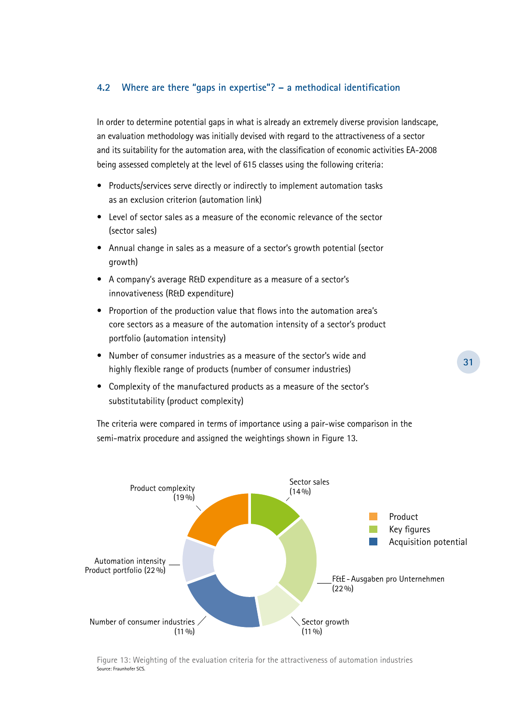#### **4.2 Where are there "gaps in expertise"? – a methodical identification**

In order to determine potential gaps in what is already an extremely diverse provision landscape, an evaluation methodology was initially devised with regard to the attractiveness of a sector and its suitability for the automation area, with the classification of economic activities EA-2008 being assessed completely at the level of 615 classes using the following criteria:

- Products/services serve directly or indirectly to implement automation tasks as an exclusion criterion (automation link)
- Level of sector sales as a measure of the economic relevance of the sector (sector sales)
- Annual change in sales as a measure of a sector's growth potential (sector growth)
- A company's average R&D expenditure as a measure of a sector's innovativeness (R&D expenditure)
- Proportion of the production value that flows into the automation area's core sectors as a measure of the automation intensity of a sector's product portfolio (automation intensity)
- Number of consumer industries as a measure of the sector's wide and highly flexible range of products (number of consumer industries)
- Complexity of the manufactured products as a measure of the sector's substitutability (product complexity)

The criteria were compared in terms of importance using a pair-wise comparison in the semi-matrix procedure and assigned the weightings shown in Figure 13.



Figure 13: Weighting of the evaluation criteria for the attractiveness of automation industries Source: Fraunhofer SCS.

**31**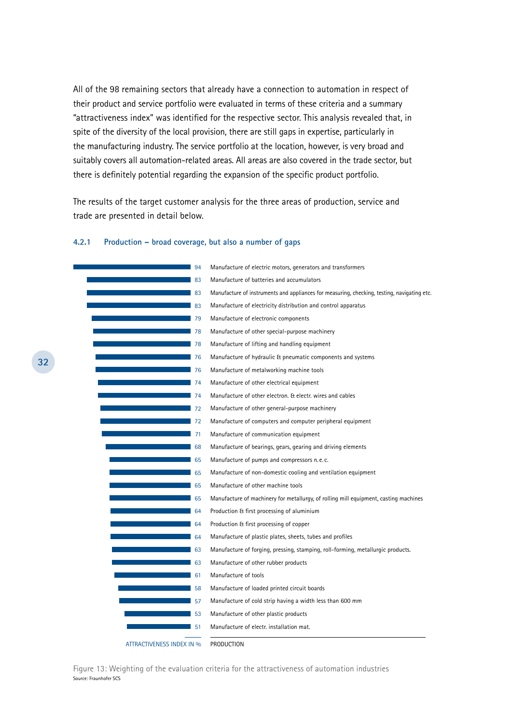All of the 98 remaining sectors that already have a connection to automation in respect of their product and service portfolio were evaluated in terms of these criteria and a summary "attractiveness index" was identified for the respective sector. This analysis revealed that, in spite of the diversity of the local provision, there are still gaps in expertise, particularly in the manufacturing industry. The service portfolio at the location, however, is very broad and suitably covers all automation-related areas. All areas are also covered in the trade sector, but there is definitely potential regarding the expansion of the specific product portfolio.

The results of the target customer analysis for the three areas of production, service and trade are presented in detail below.

#### **4.2.1 Production – broad coverage, but also a number of gaps**

| 94                        | Manufacture of electric motors, generators and transformers                                 |
|---------------------------|---------------------------------------------------------------------------------------------|
| 83                        | Manufacture of batteries and accumulators                                                   |
| 83                        | Manufacture of instruments and appliances for measuring, checking, testing, navigating etc. |
| 83                        | Manufacture of electricity distribution and control apparatus                               |
| 79                        | Manufacture of electronic components                                                        |
| 78                        | Manufacture of other special-purpose machinery                                              |
| 78                        | Manufacture of lifting and handling equipment                                               |
| 76                        | Manufacture of hydraulic & pneumatic components and systems                                 |
| 76                        | Manufacture of metalworking machine tools                                                   |
| 74                        | Manufacture of other electrical equipment                                                   |
| 74                        | Manufacture of other electron. Et electr. wires and cables                                  |
| 72                        | Manufacture of other general-purpose machinery                                              |
| 72                        | Manufacture of computers and computer peripheral equipment                                  |
| 71                        | Manufacture of communication equipment                                                      |
| 68                        | Manufacture of bearings, gears, gearing and driving elements                                |
| 65                        | Manufacture of pumps and compressors n.e.c.                                                 |
| 65                        | Manufacture of non-domestic cooling and ventilation equipment                               |
| 65                        | Manufacture of other machine tools                                                          |
| 65                        | Manufacture of machinery for metallurgy, of rolling mill equipment, casting machines        |
| 64                        | Production & first processing of aluminium                                                  |
| 64                        | Production & first processing of copper                                                     |
| 64                        | Manufacture of plastic plates, sheets, tubes and profiles                                   |
| 63                        | Manufacture of forging, pressing, stamping, roll-forming, metallurgic products.             |
| 63                        | Manufacture of other rubber products                                                        |
| 61                        | Manufacture of tools                                                                        |
| 58                        | Manufacture of loaded printed circuit boards                                                |
| 57                        | Manufacture of cold strip having a width less than 600 mm                                   |
| 53                        | Manufacture of other plastic products                                                       |
| 51                        | Manufacture of electr. installation mat.                                                    |
| ATTRACTIVENESS INDEX IN % | PRODUCTION                                                                                  |
|                           |                                                                                             |

Figure 13: Weighting of the evaluation criteria for the attractiveness of automation industries Source: Fraunhofer SCS

**32**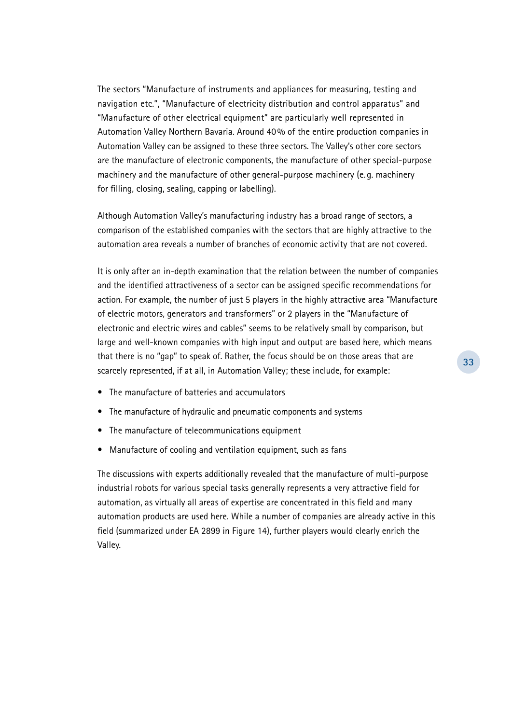The sectors "Manufacture of instruments and appliances for measuring, testing and navigation etc.", "Manufacture of electricity distribution and control apparatus" and "Manufacture of other electrical equipment" are particularly well represented in Automation Valley Northern Bavaria. Around 40% of the entire production companies in Automation Valley can be assigned to these three sectors. The Valley's other core sectors are the manufacture of electronic components, the manufacture of other special-purpose machinery and the manufacture of other general-purpose machinery (e. g. machinery for filling, closing, sealing, capping or labelling).

Although Automation Valley's manufacturing industry has a broad range of sectors, a comparison of the established companies with the sectors that are highly attractive to the automation area reveals a number of branches of economic activity that are not covered.

It is only after an in-depth examination that the relation between the number of companies and the identified attractiveness of a sector can be assigned specific recommendations for action. For example, the number of just 5 players in the highly attractive area "Manufacture of electric motors, generators and transformers" or 2 players in the "Manufacture of electronic and electric wires and cables" seems to be relatively small by comparison, but large and well-known companies with high input and output are based here, which means that there is no "gap" to speak of. Rather, the focus should be on those areas that are scarcely represented, if at all, in Automation Valley; these include, for example:

- The manufacture of batteries and accumulators
- The manufacture of hydraulic and pneumatic components and systems
- The manufacture of telecommunications equipment
- Manufacture of cooling and ventilation equipment, such as fans

The discussions with experts additionally revealed that the manufacture of multi-purpose industrial robots for various special tasks generally represents a very attractive field for automation, as virtually all areas of expertise are concentrated in this field and many automation products are used here. While a number of companies are already active in this field (summarized under EA 2899 in Figure 14), further players would clearly enrich the Valley.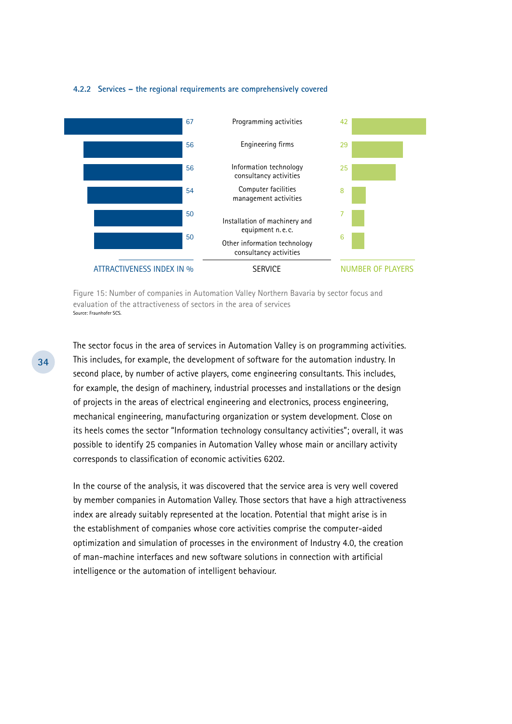#### **4.2.2 Services – the regional requirements are comprehensively covered**



Figure 15: Number of companies in Automation Valley Northern Bavaria by sector focus and evaluation of the attractiveness of sectors in the area of services Source: Fraunhofer SCS.

The sector focus in the area of services in Automation Valley is on programming activities. This includes, for example, the development of software for the automation industry. In second place, by number of active players, come engineering consultants. This includes, for example, the design of machinery, industrial processes and installations or the design of projects in the areas of electrical engineering and electronics, process engineering, mechanical engineering, manufacturing organization or system development. Close on its heels comes the sector "Information technology consultancy activities"; overall, it was possible to identify 25 companies in Automation Valley whose main or ancillary activity corresponds to classification of economic activities 6202.

In the course of the analysis, it was discovered that the service area is very well covered by member companies in Automation Valley. Those sectors that have a high attractiveness index are already suitably represented at the location. Potential that might arise is in the establishment of companies whose core activities comprise the computer-aided optimization and simulation of processes in the environment of Industry 4.0, the creation of man-machine interfaces and new software solutions in connection with artificial intelligence or the automation of intelligent behaviour.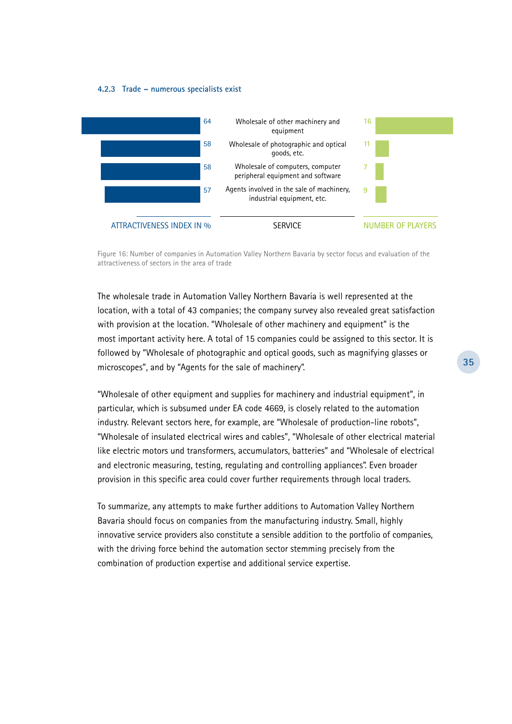#### **4.2.3 Trade – numerous specialists exist**



Figure 16: Number of companies in Automation Valley Northern Bavaria by sector focus and evaluation of the attractiveness of sectors in the area of trade

The wholesale trade in Automation Valley Northern Bavaria is well represented at the location, with a total of 43 companies; the company survey also revealed great satisfaction with provision at the location. "Wholesale of other machinery and equipment" is the most important activity here. A total of 15 companies could be assigned to this sector. It is followed by "Wholesale of photographic and optical goods, such as magnifying glasses or microscopes", and by "Agents for the sale of machinery".

"Wholesale of other equipment and supplies for machinery and industrial equipment", in particular, which is subsumed under EA code 4669, is closely related to the automation industry. Relevant sectors here, for example, are "Wholesale of production-line robots", "Wholesale of insulated electrical wires and cables", "Wholesale of other electrical material like electric motors und transformers, accumulators, batteries" and "Wholesale of electrical and electronic measuring, testing, regulating and controlling appliances". Even broader provision in this specific area could cover further requirements through local traders.

To summarize, any attempts to make further additions to Automation Valley Northern Bavaria should focus on companies from the manufacturing industry. Small, highly innovative service providers also constitute a sensible addition to the portfolio of companies, with the driving force behind the automation sector stemming precisely from the combination of production expertise and additional service expertise.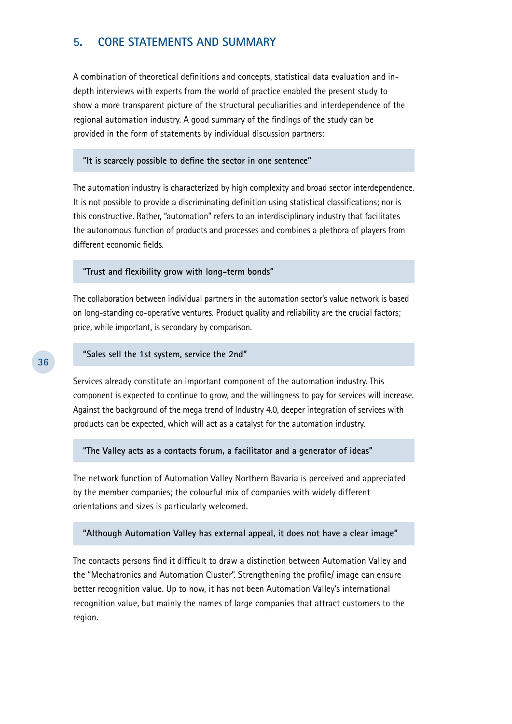# **5. Core Statements and Summary**

A combination of theoretical definitions and concepts, statistical data evaluation and indepth interviews with experts from the world of practice enabled the present study to show a more transparent picture of the structural peculiarities and interdependence of the regional automation industry. A good summary of the findings of the study can be provided in the form of statements by individual discussion partners:

#### **"It is scarcely possible to define the sector in one sentence"**

The automation industry is characterized by high complexity and broad sector interdependence. It is not possible to provide a discriminating definition using statistical classifications; nor is this constructive. Rather, "automation" refers to an interdisciplinary industry that facilitates the autonomous function of products and processes and combines a plethora of players from different economic fields.

#### **"Trust and flexibility grow with long-term bonds"**

The collaboration between individual partners in the automation sector's value network is based on long-standing co-operative ventures. Product quality and reliability are the crucial factors; price, while important, is secondary by comparison.

#### **"Sales sell the 1st system, service the 2nd"**

Services already constitute an important component of the automation industry. This component is expected to continue to grow, and the willingness to pay for services will increase. Against the background of the mega trend of Industry 4.0, deeper integration of services with products can be expected, which will act as a catalyst for the automation industry.

#### **"The Valley acts as a contacts forum, a facilitator and a generator of ideas"**

The network function of Automation Valley Northern Bavaria is perceived and appreciated by the member companies; the colourful mix of companies with widely different orientations and sizes is particularly welcomed.

#### **"Although Automation Valley has external appeal, it does not have a clear image"**

The contacts persons find it difficult to draw a distinction between Automation Valley and the "Mechatronics and Automation Cluster". Strengthening the profile/ image can ensure better recognition value. Up to now, it has not been Automation Valley's international recognition value, but mainly the names of large companies that attract customers to the region.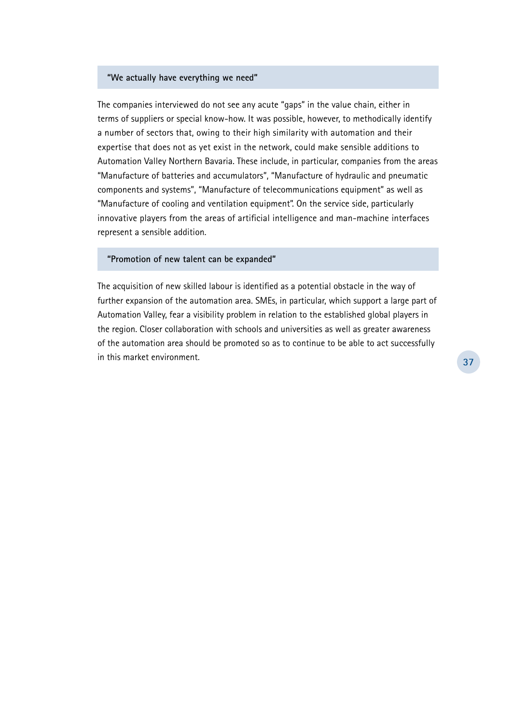#### **"We actually have everything we need"**

The companies interviewed do not see any acute "gaps" in the value chain, either in terms of suppliers or special know-how. It was possible, however, to methodically identify a number of sectors that, owing to their high similarity with automation and their expertise that does not as yet exist in the network, could make sensible additions to Automation Valley Northern Bavaria. These include, in particular, companies from the areas "Manufacture of batteries and accumulators", "Manufacture of hydraulic and pneumatic components and systems", "Manufacture of telecommunications equipment" as well as "Manufacture of cooling and ventilation equipment". On the service side, particularly innovative players from the areas of artificial intelligence and man-machine interfaces represent a sensible addition.

#### **"Promotion of new talent can be expanded"**

The acquisition of new skilled labour is identified as a potential obstacle in the way of further expansion of the automation area. SMEs, in particular, which support a large part of Automation Valley, fear a visibility problem in relation to the established global players in the region. Closer collaboration with schools and universities as well as greater awareness of the automation area should be promoted so as to continue to be able to act successfully in this market environment.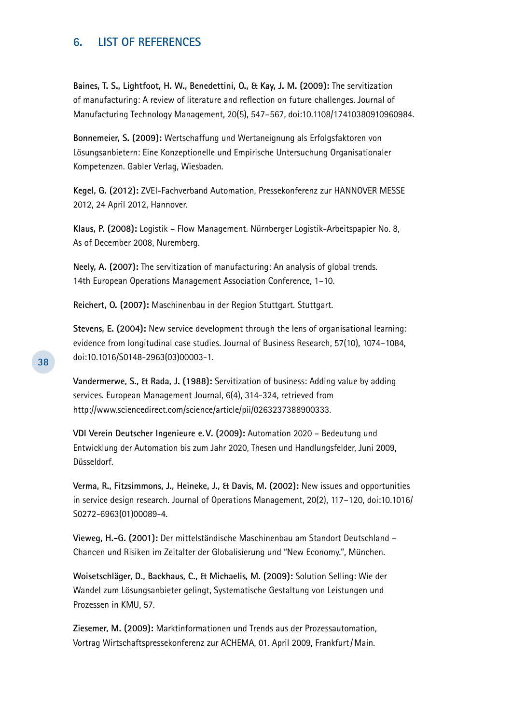# **6. List of References**

**Baines, T. S., Lightfoot, H. W., Benedettini, O., & Kay, J. M. (2009):** The servitization of manufacturing: A review of literature and reflection on future challenges. Journal of Manufacturing Technology Management, 20(5), 547–567, doi:10.1108/17410380910960984.

**Bonnemeier, S. (2009):** Wertschaffung und Wertaneignung als Erfolgsfaktoren von Lösungsanbietern: Eine Konzeptionelle und Empirische Untersuchung Organisationaler Kompetenzen. Gabler Verlag, Wiesbaden.

**Kegel, G. (2012):** ZVEI-Fachverband Automation, Pressekonferenz zur HANNOVER MESSE 2012, 24 April 2012, Hannover.

**Klaus, P. (2008):** Logistik – Flow Management. Nürnberger Logistik-Arbeitspapier No. 8, As of December 2008, Nuremberg.

**Neely, A. (2007):** The servitization of manufacturing: An analysis of global trends. 14th European Operations Management Association Conference, 1–10.

**Reichert, O. (2007):** Maschinenbau in der Region Stuttgart. Stuttgart.

**Stevens, E. (2004):** New service development through the lens of organisational learning: evidence from longitudinal case studies. Journal of Business Research, 57(10), 1074–1084, doi:10.1016/S0148-2963(03)00003-1.

**Vandermerwe, S., & Rada, J. (1988):** Servitization of business: Adding value by adding services. European Management Journal, 6(4), 314-324, retrieved from http://www.sciencedirect.com/science/article/pii/0263237388900333.

**VDI Verein Deutscher Ingenieure e. V. (2009):** Automation 2020 – Bedeutung und Entwicklung der Automation bis zum Jahr 2020, Thesen und Handlungsfelder, Juni 2009, Düsseldorf.

**Verma, R., Fitzsimmons, J., Heineke, J., & Davis, M. (2002):** New issues and opportunities in service design research. Journal of Operations Management, 20(2), 117–120, doi:10.1016/ S0272-6963(01)00089-4.

**Vieweg, H.-G. (2001):** Der mittelständische Maschinenbau am Standort Deutschland – Chancen und Risiken im Zeitalter der Globalisierung und "New Economy.", München.

**Woisetschläger, D., Backhaus, C., & Michaelis, M. (2009):** Solution Selling: Wie der Wandel zum Lösungsanbieter gelingt, Systematische Gestaltung von Leistungen und Prozessen in KMU, 57.

**Ziesemer, M. (2009):** Marktinformationen und Trends aus der Prozessautomation, Vortrag Wirtschaftspressekonferenz zur ACHEMA, 01. April 2009, Frankfurt/Main.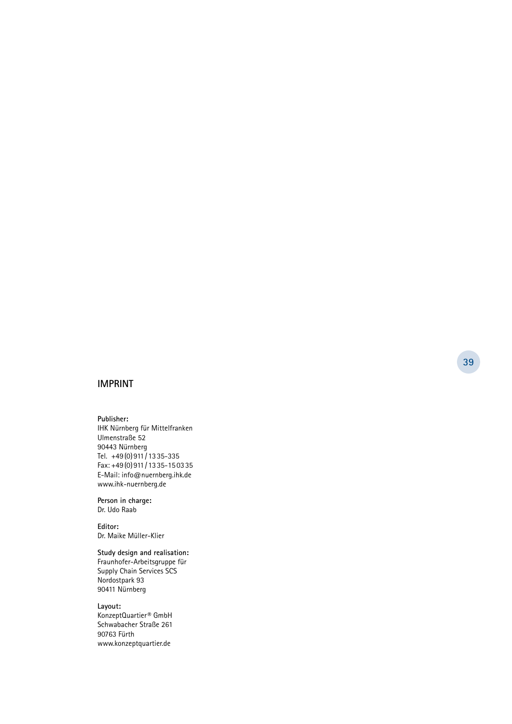#### **Imprint**

**Publisher:** IHK Nürnberg für Mittelfranken Ulmenstraße 52 90443 Nürnberg Tel. +49(0)911 /1335-335 Fax: +49(0)911 /1335-15 0335 E-Mail: info@nuernberg.ihk.de www.ihk-nuernberg.de

**Person in charge:**  Dr. Udo Raab

**Editor:**  Dr. Maike Müller-Klier

**Study design and realisation:**  Fraunhofer-Arbeitsgruppe für Supply Chain Services SCS Nordostpark 93 90411 Nürnberg

**Layout:**  KonzeptQuartier® GmbH Schwabacher Straße 261 90763 Fürth www.konzeptquartier.de